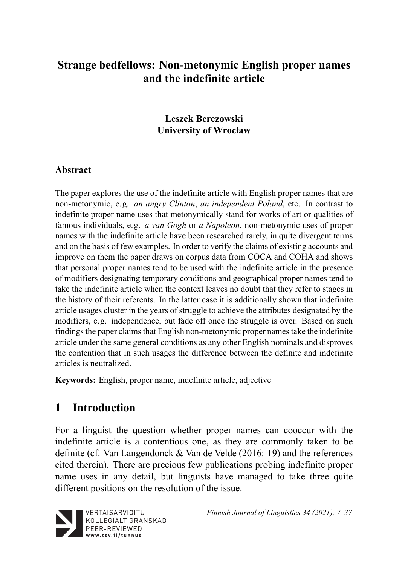# **Strange bedfellows: Non-metonymic English proper names and the indefinite article**

### **Leszek Berezowski University of Wrocław**

#### **Abstract**

The paper explores the use of the indefinite article with English proper names that are non-metonymic, e.g. *an angry Clinton*, *an independent Poland*, etc. In contrast to indefinite proper name uses that metonymically stand for works of art or qualities of famous individuals, e.g. *a van Gogh* or *a Napoleon*, non-metonymic uses of proper names with the indefinite article have been researched rarely, in quite divergent terms and on the basis of few examples. In order to verify the claims of existing accounts and improve on them the paper draws on corpus data from COCA and COHA and shows that personal proper names tend to be used with the indefinite article in the presence of modifiers designating temporary conditions and geographical proper names tend to take the indefinite article when the context leaves no doubt that they refer to stages in the history of their referents. In the latter case it is additionally shown that indefinite article usages cluster in the years of struggle to achieve the attributes designated by the modifiers, e.g. independence, but fade off once the struggle is over. Based on such findings the paper claims that English non-metonymic proper names take the indefinite article under the same general conditions as any other English nominals and disproves the contention that in such usages the difference between the definite and indefinite articles is neutralized.

**Keywords:** English, proper name, indefinite article, adjective

# **1 Introduction**

For a linguist the question whether proper names can cooccur with the indefinite article is a contentious one, as they are commonly taken to be definite (cf. Van Langendonck & Van de Velde (2016: 19) and the references cited therein). There are precious few publications probing indefinite proper name uses in any detail, but linguists have managed to take three quite different positions on the resolution of the issue.



*Finnish Journal of Linguistics 34 (2021), 7–37*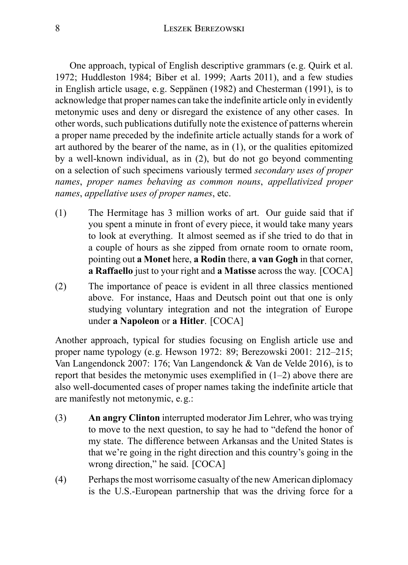One approach, typical of English descriptive grammars (e.g. Quirk et al. 1972; Huddleston 1984; Biber et al. 1999; Aarts 2011), and a few studies in English article usage, e.g. Seppänen (1982) and Chesterman (1991), is to acknowledge that proper names can take the indefinite article only in evidently metonymic uses and deny or disregard the existence of any other cases. In other words, such publications dutifully note the existence of patterns wherein a proper name preceded by the indefinite article actually stands for a work of art authored by the bearer of the name, as in (1), or the qualities epitomized by a well-known individual, as in (2), but do not go beyond commenting on a selection of such specimens variously termed *secondary uses of proper names*, *proper names behaving as common nouns*, *appellativized proper names*, *appellative uses of proper names*, etc.

- (1) The Hermitage has 3 million works of art. Our guide said that if you spent a minute in front of every piece, it would take many years to look at everything. It almost seemed as if she tried to do that in a couple of hours as she zipped from ornate room to ornate room, pointing out **a Monet** here, **a Rodin** there, **a van Gogh** in that corner, **a Raffaello** just to your right and **a Matisse** across the way. [COCA]
- (2) The importance of peace is evident in all three classics mentioned above. For instance, Haas and Deutsch point out that one is only studying voluntary integration and not the integration of Europe under **a Napoleon** or **a Hitler**. [COCA]

Another approach, typical for studies focusing on English article use and proper name typology (e.g. Hewson 1972: 89; Berezowski 2001: 212–215; Van Langendonck 2007: 176; Van Langendonck & Van de Velde 2016), is to report that besides the metonymic uses exemplified in  $(1-2)$  above there are also well-documented cases of proper names taking the indefinite article that are manifestly not metonymic, e.g.:

- (3) **An angry Clinton** interrupted moderator Jim Lehrer, who was trying to move to the next question, to say he had to "defend the honor of my state. The difference between Arkansas and the United States is that we're going in the right direction and this country's going in the wrong direction," he said. [COCA]
- (4) Perhaps the most worrisome casualty of the new American diplomacy is the U.S.-European partnership that was the driving force for a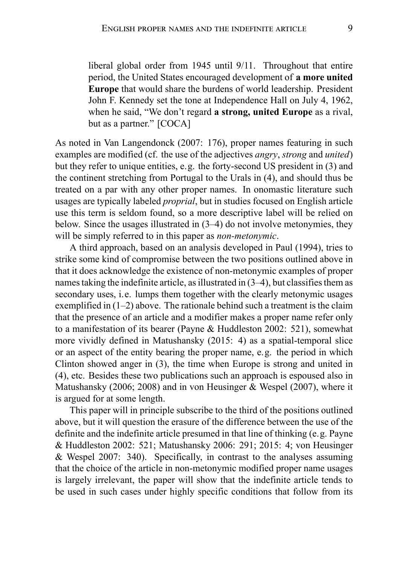liberal global order from 1945 until 9/11. Throughout that entire period, the United States encouraged development of **a more united Europe** that would share the burdens of world leadership. President John F. Kennedy set the tone at Independence Hall on July 4, 1962, when he said, "We don't regard **a strong, united Europe** as a rival, but as a partner." [COCA]

As noted in Van Langendonck (2007: 176), proper names featuring in such examples are modified (cf. the use of the adjectives *angry*, *strong* and *united*) but they refer to unique entities, e.g. the forty-second US president in (3) and the continent stretching from Portugal to the Urals in (4), and should thus be treated on a par with any other proper names. In onomastic literature such usages are typically labeled *proprial*, but in studies focused on English article use this term is seldom found, so a more descriptive label will be relied on below. Since the usages illustrated in (3–4) do not involve metonymies, they will be simply referred to in this paper as *non-metonymic*.

A third approach, based on an analysis developed in Paul (1994), tries to strike some kind of compromise between the two positions outlined above in that it does acknowledge the existence of non-metonymic examples of proper names taking the indefinite article, as illustrated in (3–4), but classifies them as secondary uses, i.e. lumps them together with the clearly metonymic usages exemplified in (1–2) above. The rationale behind such a treatment is the claim that the presence of an article and a modifier makes a proper name refer only to a manifestation of its bearer (Payne & Huddleston 2002: 521), somewhat more vividly defined in Matushansky (2015: 4) as a spatial-temporal slice or an aspect of the entity bearing the proper name, e.g. the period in which Clinton showed anger in (3), the time when Europe is strong and united in (4), etc. Besides these two publications such an approach is espoused also in Matushansky (2006; 2008) and in von Heusinger & Wespel (2007), where it is argued for at some length.

This paper will in principle subscribe to the third of the positions outlined above, but it will question the erasure of the difference between the use of the definite and the indefinite article presumed in that line of thinking (e.g. Payne & Huddleston 2002: 521; Matushansky 2006: 291; 2015: 4; von Heusinger & Wespel 2007: 340). Specifically, in contrast to the analyses assuming that the choice of the article in non-metonymic modified proper name usages is largely irrelevant, the paper will show that the indefinite article tends to be used in such cases under highly specific conditions that follow from its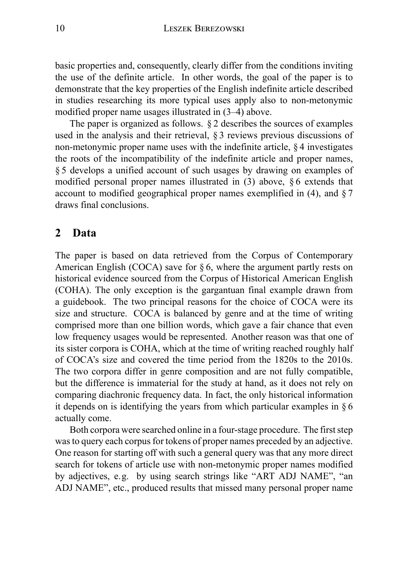basic properties and, consequently, clearly differ from the conditions inviting the use of the definite article. In other words, the goal of the paper is to demonstrate that the key properties of the English indefinite article described in studies researching its more typical uses apply also to non-metonymic modified proper name usages illustrated in (3–4) above.

The paper is organized as follows. § 2 describes the sources of examples used in the analysis and their retrieval, § 3 reviews previous discussions of non-metonymic proper name uses with the indefinite article, § 4 investigates the roots of the incompatibility of the indefinite article and proper names, § 5 develops a unified account of such usages by drawing on examples of modified personal proper names illustrated in (3) above, § 6 extends that account to modified geographical proper names exemplified in  $(4)$ , and  $\S 7$ draws final conclusions.

### **2 Data**

The paper is based on data retrieved from the Corpus of Contemporary American English (COCA) save for § 6, where the argument partly rests on historical evidence sourced from the Corpus of Historical American English (COHA). The only exception is the gargantuan final example drawn from a guidebook. The two principal reasons for the choice of COCA were its size and structure. COCA is balanced by genre and at the time of writing comprised more than one billion words, which gave a fair chance that even low frequency usages would be represented. Another reason was that one of its sister corpora is COHA, which at the time of writing reached roughly half of COCA's size and covered the time period from the 1820s to the 2010s. The two corpora differ in genre composition and are not fully compatible, but the difference is immaterial for the study at hand, as it does not rely on comparing diachronic frequency data. In fact, the only historical information it depends on is identifying the years from which particular examples in § 6 actually come.

Both corpora were searched online in a four-stage procedure. The first step was to query each corpus for tokens of proper names preceded by an adjective. One reason for starting off with such a general query was that any more direct search for tokens of article use with non-metonymic proper names modified by adjectives, e.g. by using search strings like "ART ADJ NAME", "an ADJ NAME", etc., produced results that missed many personal proper name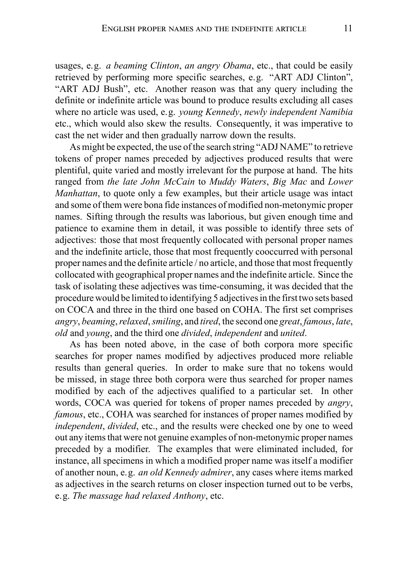usages, e.g. *a beaming Clinton*, *an angry Obama*, etc., that could be easily retrieved by performing more specific searches, e.g. "ART ADJ Clinton", "ART ADJ Bush", etc. Another reason was that any query including the definite or indefinite article was bound to produce results excluding all cases where no article was used, e.g. *young Kennedy*, *newly independent Namibia* etc., which would also skew the results. Consequently, it was imperative to cast the net wider and then gradually narrow down the results.

As might be expected, the use of the search string "ADJ NAME" to retrieve tokens of proper names preceded by adjectives produced results that were plentiful, quite varied and mostly irrelevant for the purpose at hand. The hits ranged from *the late John McCain* to *Muddy Waters*, *Big Mac* and *Lower Manhattan*, to quote only a few examples, but their article usage was intact and some of them were bona fide instances of modified non-metonymic proper names. Sifting through the results was laborious, but given enough time and patience to examine them in detail, it was possible to identify three sets of adjectives: those that most frequently collocated with personal proper names and the indefinite article, those that most frequently cooccurred with personal proper names and the definite article / no article, and those that most frequently collocated with geographical proper names and the indefinite article. Since the task of isolating these adjectives was time-consuming, it was decided that the procedure would be limited to identifying 5 adjectives in the first two sets based on COCA and three in the third one based on COHA. The first set comprises *angry*, *beaming*,*relaxed*,*smiling*, and *tired*, the second one *great*, *famous*, *late*, *old* and *young*, and the third one *divided*, *independent* and *united*.

As has been noted above, in the case of both corpora more specific searches for proper names modified by adjectives produced more reliable results than general queries. In order to make sure that no tokens would be missed, in stage three both corpora were thus searched for proper names modified by each of the adjectives qualified to a particular set. In other words, COCA was queried for tokens of proper names preceded by *angry*, *famous*, etc., COHA was searched for instances of proper names modified by *independent*, *divided*, etc., and the results were checked one by one to weed out any items that were not genuine examples of non-metonymic proper names preceded by a modifier. The examples that were eliminated included, for instance, all specimens in which a modified proper name was itself a modifier of another noun, e.g. *an old Kennedy admirer*, any cases where items marked as adjectives in the search returns on closer inspection turned out to be verbs, e.g. *The massage had relaxed Anthony*, etc.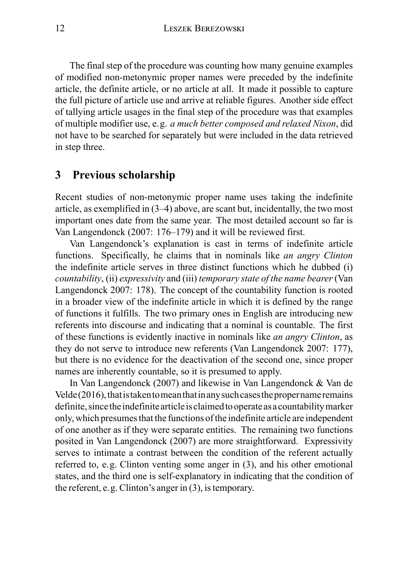The final step of the procedure was counting how many genuine examples of modified non-metonymic proper names were preceded by the indefinite article, the definite article, or no article at all. It made it possible to capture the full picture of article use and arrive at reliable figures. Another side effect of tallying article usages in the final step of the procedure was that examples of multiple modifier use, e.g. *a much better composed and relaxed Nixon*, did not have to be searched for separately but were included in the data retrieved in step three.

### **3 Previous scholarship**

Recent studies of non-metonymic proper name uses taking the indefinite article, as exemplified in (3–4) above, are scant but, incidentally, the two most important ones date from the same year. The most detailed account so far is Van Langendonck (2007: 176–179) and it will be reviewed first.

Van Langendonck's explanation is cast in terms of indefinite article functions. Specifically, he claims that in nominals like *an angry Clinton* the indefinite article serves in three distinct functions which he dubbed (i) *countability*, (ii) *expressivity* and (iii) *temporary state of the name bearer* (Van Langendonck 2007: 178). The concept of the countability function is rooted in a broader view of the indefinite article in which it is defined by the range of functions it fulfills. The two primary ones in English are introducing new referents into discourse and indicating that a nominal is countable. The first of these functions is evidently inactive in nominals like *an angry Clinton*, as they do not serve to introduce new referents (Van Langendonck 2007: 177), but there is no evidence for the deactivation of the second one, since proper names are inherently countable, so it is presumed to apply.

In Van Langendonck (2007) and likewise in Van Langendonck & Van de  $V$ elde $(2016)$ , that is taken to mean that in any such cases the proper name remains definite, since the indefinite article is claimed to operate as a countability marker only, which presumes that the functions of the indefinite article are independent of one another as if they were separate entities. The remaining two functions posited in Van Langendonck (2007) are more straightforward. Expressivity serves to intimate a contrast between the condition of the referent actually referred to, e.g. Clinton venting some anger in (3), and his other emotional states, and the third one is self-explanatory in indicating that the condition of the referent, e.g. Clinton's anger in (3), is temporary.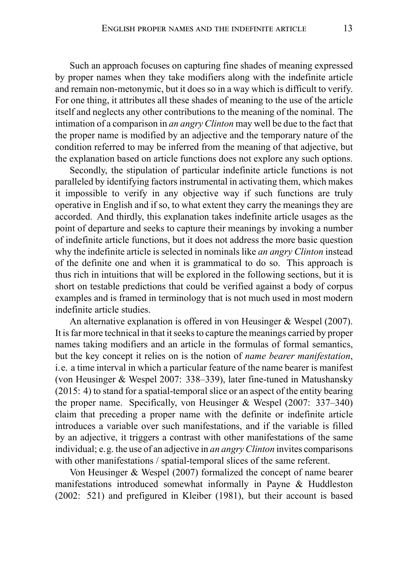Such an approach focuses on capturing fine shades of meaning expressed by proper names when they take modifiers along with the indefinite article and remain non-metonymic, but it does so in a way which is difficult to verify. For one thing, it attributes all these shades of meaning to the use of the article itself and neglects any other contributions to the meaning of the nominal. The intimation of a comparison in *an angry Clinton* may well be due to the fact that the proper name is modified by an adjective and the temporary nature of the condition referred to may be inferred from the meaning of that adjective, but the explanation based on article functions does not explore any such options.

Secondly, the stipulation of particular indefinite article functions is not paralleled by identifying factors instrumental in activating them, which makes it impossible to verify in any objective way if such functions are truly operative in English and if so, to what extent they carry the meanings they are accorded. And thirdly, this explanation takes indefinite article usages as the point of departure and seeks to capture their meanings by invoking a number of indefinite article functions, but it does not address the more basic question why the indefinite article is selected in nominals like *an angry Clinton* instead of the definite one and when it is grammatical to do so. This approach is thus rich in intuitions that will be explored in the following sections, but it is short on testable predictions that could be verified against a body of corpus examples and is framed in terminology that is not much used in most modern indefinite article studies.

An alternative explanation is offered in von Heusinger & Wespel (2007). It is far more technical in that it seeks to capture the meanings carried by proper names taking modifiers and an article in the formulas of formal semantics, but the key concept it relies on is the notion of *name bearer manifestation*, i.e. a time interval in which a particular feature of the name bearer is manifest (von Heusinger & Wespel 2007: 338–339), later fine-tuned in Matushansky (2015: 4) to stand for a spatial-temporal slice or an aspect of the entity bearing the proper name. Specifically, von Heusinger & Wespel (2007: 337–340) claim that preceding a proper name with the definite or indefinite article introduces a variable over such manifestations, and if the variable is filled by an adjective, it triggers a contrast with other manifestations of the same individual; e.g. the use of an adjective in *an angry Clinton* invites comparisons with other manifestations / spatial-temporal slices of the same referent.

Von Heusinger & Wespel (2007) formalized the concept of name bearer manifestations introduced somewhat informally in Payne & Huddleston (2002: 521) and prefigured in Kleiber (1981), but their account is based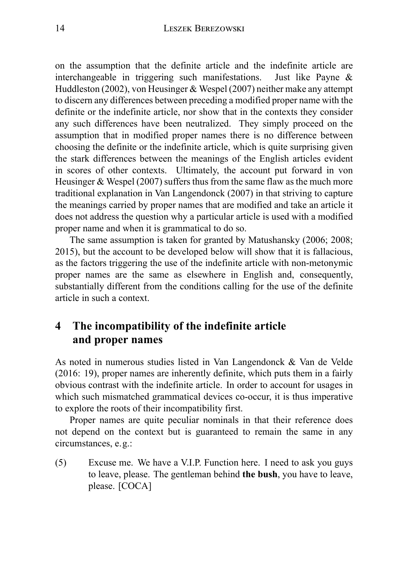on the assumption that the definite article and the indefinite article are interchangeable in triggering such manifestations. Just like Payne & Huddleston (2002), von Heusinger & Wespel (2007) neither make any attempt to discern any differences between preceding a modified proper name with the definite or the indefinite article, nor show that in the contexts they consider any such differences have been neutralized. They simply proceed on the assumption that in modified proper names there is no difference between choosing the definite or the indefinite article, which is quite surprising given the stark differences between the meanings of the English articles evident in scores of other contexts. Ultimately, the account put forward in von Heusinger & Wespel (2007) suffers thus from the same flaw as the much more traditional explanation in Van Langendonck (2007) in that striving to capture the meanings carried by proper names that are modified and take an article it does not address the question why a particular article is used with a modified proper name and when it is grammatical to do so.

The same assumption is taken for granted by Matushansky (2006; 2008; 2015), but the account to be developed below will show that it is fallacious, as the factors triggering the use of the indefinite article with non-metonymic proper names are the same as elsewhere in English and, consequently, substantially different from the conditions calling for the use of the definite article in such a context.

## **4 The incompatibility of the indefinite article and proper names**

As noted in numerous studies listed in Van Langendonck & Van de Velde (2016: 19), proper names are inherently definite, which puts them in a fairly obvious contrast with the indefinite article. In order to account for usages in which such mismatched grammatical devices co-occur, it is thus imperative to explore the roots of their incompatibility first.

Proper names are quite peculiar nominals in that their reference does not depend on the context but is guaranteed to remain the same in any circumstances, e.g.:

(5) Excuse me. We have a V.I.P. Function here. I need to ask you guys to leave, please. The gentleman behind **the bush**, you have to leave, please. [COCA]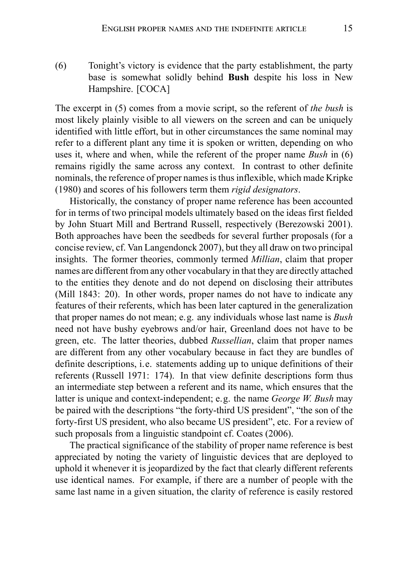(6) Tonight's victory is evidence that the party establishment, the party base is somewhat solidly behind **Bush** despite his loss in New Hampshire. [COCA]

The excerpt in (5) comes from a movie script, so the referent of *the bush* is most likely plainly visible to all viewers on the screen and can be uniquely identified with little effort, but in other circumstances the same nominal may refer to a different plant any time it is spoken or written, depending on who uses it, where and when, while the referent of the proper name *Bush* in (6) remains rigidly the same across any context. In contrast to other definite nominals, the reference of proper names is thus inflexible, which made Kripke (1980) and scores of his followers term them *rigid designators*.

Historically, the constancy of proper name reference has been accounted for in terms of two principal models ultimately based on the ideas first fielded by John Stuart Mill and Bertrand Russell, respectively (Berezowski 2001). Both approaches have been the seedbeds for several further proposals (for a concise review, cf. Van Langendonck 2007), but they all draw on two principal insights. The former theories, commonly termed *Millian*, claim that proper names are different from any other vocabulary in that they are directly attached to the entities they denote and do not depend on disclosing their attributes (Mill 1843: 20). In other words, proper names do not have to indicate any features of their referents, which has been later captured in the generalization that proper names do not mean; e.g. any individuals whose last name is *Bush* need not have bushy eyebrows and/or hair, Greenland does not have to be green, etc. The latter theories, dubbed *Russellian*, claim that proper names are different from any other vocabulary because in fact they are bundles of definite descriptions, i.e. statements adding up to unique definitions of their referents (Russell 1971: 174). In that view definite descriptions form thus an intermediate step between a referent and its name, which ensures that the latter is unique and context-independent; e.g. the name *George W. Bush* may be paired with the descriptions "the forty-third US president", "the son of the forty-first US president, who also became US president", etc. For a review of such proposals from a linguistic standpoint cf. Coates (2006).

The practical significance of the stability of proper name reference is best appreciated by noting the variety of linguistic devices that are deployed to uphold it whenever it is jeopardized by the fact that clearly different referents use identical names. For example, if there are a number of people with the same last name in a given situation, the clarity of reference is easily restored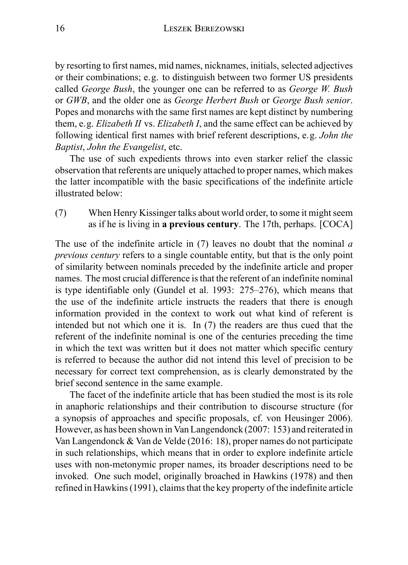by resorting to first names, mid names, nicknames, initials, selected adjectives or their combinations; e.g. to distinguish between two former US presidents called *George Bush*, the younger one can be referred to as *George W. Bush* or *GWB*, and the older one as *George Herbert Bush* or *George Bush senior*. Popes and monarchs with the same first names are kept distinct by numbering them, e.g. *Elizabeth II* vs. *Elizabeth I*, and the same effect can be achieved by following identical first names with brief referent descriptions, e.g. *John the Baptist*, *John the Evangelist*, etc.

The use of such expedients throws into even starker relief the classic observation that referents are uniquely attached to proper names, which makes the latter incompatible with the basic specifications of the indefinite article illustrated below:

(7) When Henry Kissinger talks about world order, to some it might seem as if he is living in **a previous century**. The 17th, perhaps. [COCA]

The use of the indefinite article in (7) leaves no doubt that the nominal *a previous century* refers to a single countable entity, but that is the only point of similarity between nominals preceded by the indefinite article and proper names. The most crucial difference is that the referent of an indefinite nominal is type identifiable only (Gundel et al. 1993: 275–276), which means that the use of the indefinite article instructs the readers that there is enough information provided in the context to work out what kind of referent is intended but not which one it is. In (7) the readers are thus cued that the referent of the indefinite nominal is one of the centuries preceding the time in which the text was written but it does not matter which specific century is referred to because the author did not intend this level of precision to be necessary for correct text comprehension, as is clearly demonstrated by the brief second sentence in the same example.

The facet of the indefinite article that has been studied the most is its role in anaphoric relationships and their contribution to discourse structure (for a synopsis of approaches and specific proposals, cf. von Heusinger 2006). However, as has been shown in Van Langendonck (2007: 153) and reiterated in Van Langendonck & Van de Velde (2016: 18), proper names do not participate in such relationships, which means that in order to explore indefinite article uses with non-metonymic proper names, its broader descriptions need to be invoked. One such model, originally broached in Hawkins (1978) and then refined in Hawkins (1991), claims that the key property of the indefinite article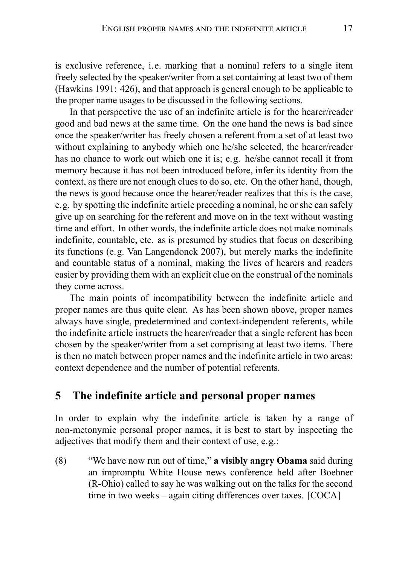is exclusive reference, i.e. marking that a nominal refers to a single item freely selected by the speaker/writer from a set containing at least two of them (Hawkins 1991: 426), and that approach is general enough to be applicable to the proper name usages to be discussed in the following sections.

In that perspective the use of an indefinite article is for the hearer/reader good and bad news at the same time. On the one hand the news is bad since once the speaker/writer has freely chosen a referent from a set of at least two without explaining to anybody which one he/she selected, the hearer/reader has no chance to work out which one it is; e.g. he/she cannot recall it from memory because it has not been introduced before, infer its identity from the context, as there are not enough clues to do so, etc. On the other hand, though, the news is good because once the hearer/reader realizes that this is the case, e.g. by spotting the indefinite article preceding a nominal, he or she can safely give up on searching for the referent and move on in the text without wasting time and effort. In other words, the indefinite article does not make nominals indefinite, countable, etc. as is presumed by studies that focus on describing its functions (e.g. Van Langendonck 2007), but merely marks the indefinite and countable status of a nominal, making the lives of hearers and readers easier by providing them with an explicit clue on the construal of the nominals they come across.

The main points of incompatibility between the indefinite article and proper names are thus quite clear. As has been shown above, proper names always have single, predetermined and context-independent referents, while the indefinite article instructs the hearer/reader that a single referent has been chosen by the speaker/writer from a set comprising at least two items. There is then no match between proper names and the indefinite article in two areas: context dependence and the number of potential referents.

### **5 The indefinite article and personal proper names**

In order to explain why the indefinite article is taken by a range of non-metonymic personal proper names, it is best to start by inspecting the adjectives that modify them and their context of use, e.g.:

(8) "We have now run out of time," **a visibly angry Obama** said during an impromptu White House news conference held after Boehner (R-Ohio) called to say he was walking out on the talks for the second time in two weeks – again citing differences over taxes. [COCA]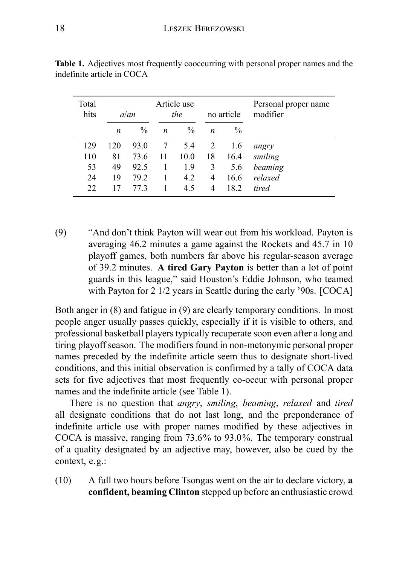| Total<br>hits |     | a/an          | Article use<br>the |               | no article |               | Personal proper name<br>modifier |  |
|---------------|-----|---------------|--------------------|---------------|------------|---------------|----------------------------------|--|
|               | n   | $\frac{0}{0}$ | $\boldsymbol{n}$   | $\frac{0}{0}$ | n          | $\frac{0}{0}$ |                                  |  |
| 129           | 120 | 93.0          |                    | 5.4           | 2          | 1.6           | angry                            |  |
| 110           | 81  | 73.6          | 11                 | 10.0          | 18         | 16.4          | smiling                          |  |
| 53            | 49  | 92.5          | 1                  | 1.9           | 3          | 5.6           | beaming                          |  |
| 24            | 19  | 792           |                    | 4.2           | 4          | 16.6          | relaxed                          |  |
| 22.           | 17  | 77 3          |                    | 4.5           | 4          | 18.2          | tired                            |  |

**Table 1.** Adjectives most frequently cooccurring with personal proper names and the indefinite article in COCA

(9) "And don't think Payton will wear out from his workload. Payton is averaging 46.2 minutes a game against the Rockets and 45.7 in 10 playoff games, both numbers far above his regular-season average of 39.2 minutes. **A tired Gary Payton** is better than a lot of point guards in this league," said Houston's Eddie Johnson, who teamed with Payton for 2 1/2 years in Seattle during the early '90s. [COCA]

Both anger in (8) and fatigue in (9) are clearly temporary conditions. In most people anger usually passes quickly, especially if it is visible to others, and professional basketball players typically recuperate soon even after a long and tiring playoff season. The modifiers found in non-metonymic personal proper names preceded by the indefinite article seem thus to designate short-lived conditions, and this initial observation is confirmed by a tally of COCA data sets for five adjectives that most frequently co-occur with personal proper names and the indefinite article (see Table 1).

There is no question that *angry*, *smiling*, *beaming*, *relaxed* and *tired* all designate conditions that do not last long, and the preponderance of indefinite article use with proper names modified by these adjectives in COCA is massive, ranging from 73.6% to 93.0%. The temporary construal of a quality designated by an adjective may, however, also be cued by the context, e.g.:

(10) A full two hours before Tsongas went on the air to declare victory, **a confident, beaming Clinton** stepped up before an enthusiastic crowd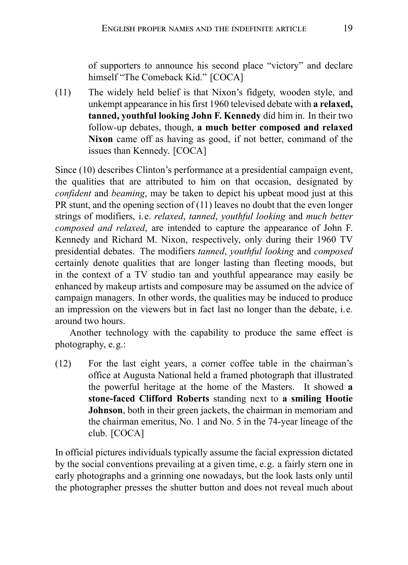of supporters to announce his second place "victory" and declare himself "The Comeback Kid." [COCA]

(11) The widely held belief is that Nixon's fidgety, wooden style, and unkempt appearance in his first 1960 televised debate with **a relaxed, tanned, youthful looking John F. Kennedy** did him in. In their two follow-up debates, though, **a much better composed and relaxed Nixon** came off as having as good, if not better, command of the issues than Kennedy. [COCA]

Since (10) describes Clinton's performance at a presidential campaign event, the qualities that are attributed to him on that occasion, designated by *confident* and *beaming*, may be taken to depict his upbeat mood just at this PR stunt, and the opening section of (11) leaves no doubt that the even longer strings of modifiers, i.e. *relaxed*, *tanned*, *youthful looking* and *much better composed and relaxed*, are intended to capture the appearance of John F. Kennedy and Richard M. Nixon, respectively, only during their 1960 TV presidential debates. The modifiers *tanned*, *youthful looking* and *composed* certainly denote qualities that are longer lasting than fleeting moods, but in the context of a TV studio tan and youthful appearance may easily be enhanced by makeup artists and composure may be assumed on the advice of campaign managers. In other words, the qualities may be induced to produce an impression on the viewers but in fact last no longer than the debate, i.e. around two hours.

Another technology with the capability to produce the same effect is photography, e.g.:

(12) For the last eight years, a corner coffee table in the chairman's office at Augusta National held a framed photograph that illustrated the powerful heritage at the home of the Masters. It showed **a stone-faced Clifford Roberts** standing next to **a smiling Hootie Johnson**, both in their green jackets, the chairman in memoriam and the chairman emeritus, No. 1 and No. 5 in the 74-year lineage of the club. [COCA]

In official pictures individuals typically assume the facial expression dictated by the social conventions prevailing at a given time, e.g. a fairly stern one in early photographs and a grinning one nowadays, but the look lasts only until the photographer presses the shutter button and does not reveal much about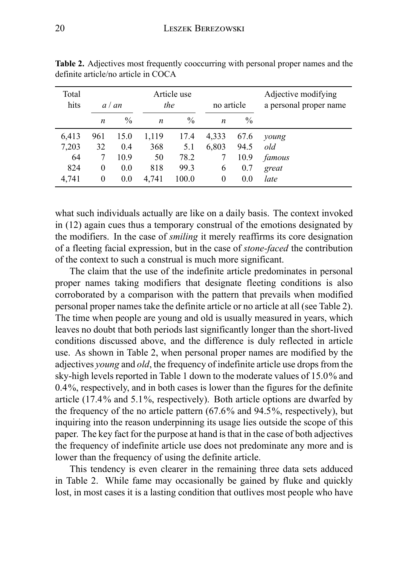| Total<br>hits | a / an           |               | Article use<br>the |               | no article       |      | Adjective modifying<br>a personal proper name |
|---------------|------------------|---------------|--------------------|---------------|------------------|------|-----------------------------------------------|
|               | $\boldsymbol{n}$ | $\frac{0}{0}$ | $\boldsymbol{n}$   | $\frac{0}{0}$ | $\boldsymbol{n}$ | $\%$ |                                               |
| 6,413         | 961              | 15.0          | 1,119              | 17.4          | 4,333            | 67.6 | young                                         |
| 7,203         | 32               | 0.4           | 368                | 5.1           | 6,803            | 94.5 | old                                           |
| 64            | 7                | 10.9          | 50                 | 78.2          |                  | 10.9 | famous                                        |
| 824           | $\theta$         | 0.0           | 818                | 99.3          | 6                | 0.7  | great                                         |
| 4,741         | 0                | 0.0           | 4.741              | 100.0         | $\theta$         | 0.0  | late                                          |

**Table 2.** Adjectives most frequently cooccurring with personal proper names and the definite article/no article in COCA

what such individuals actually are like on a daily basis. The context invoked in (12) again cues thus a temporary construal of the emotions designated by the modifiers. In the case of *smiling* it merely reaffirms its core designation of a fleeting facial expression, but in the case of *stone-faced* the contribution of the context to such a construal is much more significant.

The claim that the use of the indefinite article predominates in personal proper names taking modifiers that designate fleeting conditions is also corroborated by a comparison with the pattern that prevails when modified personal proper names take the definite article or no article at all (see Table 2). The time when people are young and old is usually measured in years, which leaves no doubt that both periods last significantly longer than the short-lived conditions discussed above, and the difference is duly reflected in article use. As shown in Table 2, when personal proper names are modified by the adjectives *young* and *old*, the frequency of indefinite article use drops from the sky-high levels reported in Table 1 down to the moderate values of 15.0% and 0.4%, respectively, and in both cases is lower than the figures for the definite article (17.4% and 5.1%, respectively). Both article options are dwarfed by the frequency of the no article pattern (67.6% and 94.5%, respectively), but inquiring into the reason underpinning its usage lies outside the scope of this paper. The key fact for the purpose at hand is that in the case of both adjectives the frequency of indefinite article use does not predominate any more and is lower than the frequency of using the definite article.

This tendency is even clearer in the remaining three data sets adduced in Table 2. While fame may occasionally be gained by fluke and quickly lost, in most cases it is a lasting condition that outlives most people who have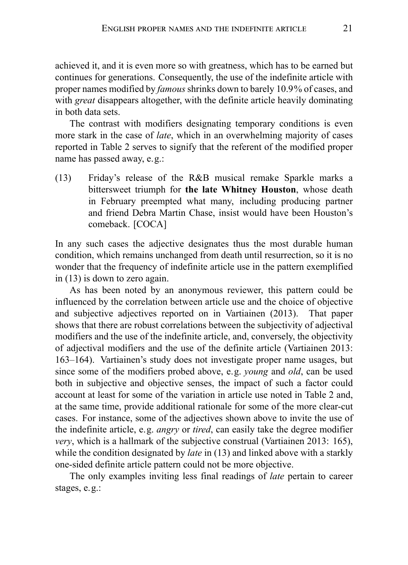achieved it, and it is even more so with greatness, which has to be earned but continues for generations. Consequently, the use of the indefinite article with proper names modified by *famous* shrinks down to barely 10.9% of cases, and with *great* disappears altogether, with the definite article heavily dominating in both data sets.

The contrast with modifiers designating temporary conditions is even more stark in the case of *late*, which in an overwhelming majority of cases reported in Table 2 serves to signify that the referent of the modified proper name has passed away, e.g.:

(13) Friday's release of the R&B musical remake Sparkle marks a bittersweet triumph for **the late Whitney Houston**, whose death in February preempted what many, including producing partner and friend Debra Martin Chase, insist would have been Houston's comeback. [COCA]

In any such cases the adjective designates thus the most durable human condition, which remains unchanged from death until resurrection, so it is no wonder that the frequency of indefinite article use in the pattern exemplified in (13) is down to zero again.

As has been noted by an anonymous reviewer, this pattern could be influenced by the correlation between article use and the choice of objective and subjective adjectives reported on in Vartiainen (2013). That paper shows that there are robust correlations between the subjectivity of adjectival modifiers and the use of the indefinite article, and, conversely, the objectivity of adjectival modifiers and the use of the definite article (Vartiainen 2013: 163–164). Vartiainen's study does not investigate proper name usages, but since some of the modifiers probed above, e.g. *young* and *old*, can be used both in subjective and objective senses, the impact of such a factor could account at least for some of the variation in article use noted in Table 2 and, at the same time, provide additional rationale for some of the more clear-cut cases. For instance, some of the adjectives shown above to invite the use of the indefinite article, e.g. *angry* or *tired*, can easily take the degree modifier *very*, which is a hallmark of the subjective construal (Vartiainen 2013: 165), while the condition designated by *late* in (13) and linked above with a starkly one-sided definite article pattern could not be more objective.

The only examples inviting less final readings of *late* pertain to career stages, e.g.: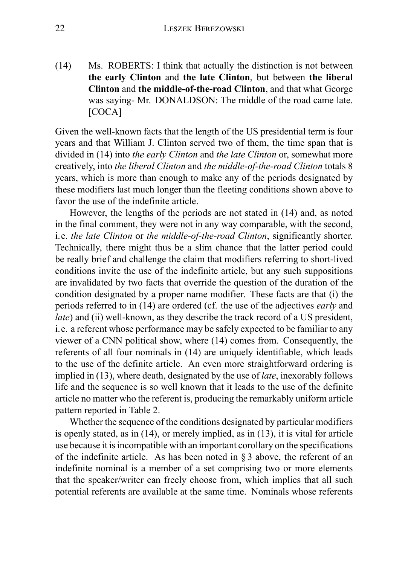(14) Ms. ROBERTS: I think that actually the distinction is not between **the early Clinton** and **the late Clinton**, but between **the liberal Clinton** and **the middle-of-the-road Clinton**, and that what George was saying- Mr. DONALDSON: The middle of the road came late. [COCA]

Given the well-known facts that the length of the US presidential term is four years and that William J. Clinton served two of them, the time span that is divided in (14) into *the early Clinton* and *the late Clinton* or, somewhat more creatively, into *the liberal Clinton* and *the middle-of-the-road Clinton* totals 8 years, which is more than enough to make any of the periods designated by these modifiers last much longer than the fleeting conditions shown above to favor the use of the indefinite article.

However, the lengths of the periods are not stated in (14) and, as noted in the final comment, they were not in any way comparable, with the second, i.e. *the late Clinton* or *the middle-of-the-road Clinton*, significantly shorter. Technically, there might thus be a slim chance that the latter period could be really brief and challenge the claim that modifiers referring to short-lived conditions invite the use of the indefinite article, but any such suppositions are invalidated by two facts that override the question of the duration of the condition designated by a proper name modifier. These facts are that (i) the periods referred to in (14) are ordered (cf. the use of the adjectives *early* and *late*) and (ii) well-known, as they describe the track record of a US president, i.e. a referent whose performance may be safely expected to be familiar to any viewer of a CNN political show, where (14) comes from. Consequently, the referents of all four nominals in (14) are uniquely identifiable, which leads to the use of the definite article. An even more straightforward ordering is implied in (13), where death, designated by the use of *late*, inexorably follows life and the sequence is so well known that it leads to the use of the definite article no matter who the referent is, producing the remarkably uniform article pattern reported in Table 2.

Whether the sequence of the conditions designated by particular modifiers is openly stated, as in (14), or merely implied, as in (13), it is vital for article use because it is incompatible with an important corollary on the specifications of the indefinite article. As has been noted in § 3 above, the referent of an indefinite nominal is a member of a set comprising two or more elements that the speaker/writer can freely choose from, which implies that all such potential referents are available at the same time. Nominals whose referents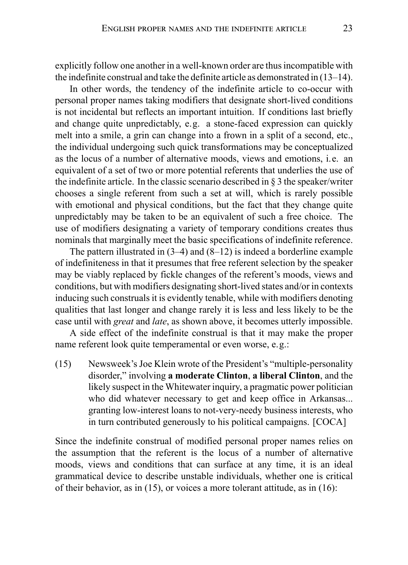explicitly follow one another in a well-known order are thus incompatible with the indefinite construal and take the definite article as demonstrated in (13–14).

In other words, the tendency of the indefinite article to co-occur with personal proper names taking modifiers that designate short-lived conditions is not incidental but reflects an important intuition. If conditions last briefly and change quite unpredictably, e.g. a stone-faced expression can quickly melt into a smile, a grin can change into a frown in a split of a second, etc., the individual undergoing such quick transformations may be conceptualized as the locus of a number of alternative moods, views and emotions, i.e. an equivalent of a set of two or more potential referents that underlies the use of the indefinite article. In the classic scenario described in § 3 the speaker/writer chooses a single referent from such a set at will, which is rarely possible with emotional and physical conditions, but the fact that they change quite unpredictably may be taken to be an equivalent of such a free choice. The use of modifiers designating a variety of temporary conditions creates thus nominals that marginally meet the basic specifications of indefinite reference.

The pattern illustrated in (3–4) and (8–12) is indeed a borderline example of indefiniteness in that it presumes that free referent selection by the speaker may be viably replaced by fickle changes of the referent's moods, views and conditions, but with modifiers designating short-lived states and/or in contexts inducing such construals it is evidently tenable, while with modifiers denoting qualities that last longer and change rarely it is less and less likely to be the case until with *great* and *late*, as shown above, it becomes utterly impossible.

A side effect of the indefinite construal is that it may make the proper name referent look quite temperamental or even worse, e.g.:

(15) Newsweek's Joe Klein wrote of the President's "multiple-personality disorder," involving **a moderate Clinton**, **a liberal Clinton**, and the likely suspect in the Whitewater inquiry, a pragmatic power politician who did whatever necessary to get and keep office in Arkansas... granting low-interest loans to not-very-needy business interests, who in turn contributed generously to his political campaigns. [COCA]

Since the indefinite construal of modified personal proper names relies on the assumption that the referent is the locus of a number of alternative moods, views and conditions that can surface at any time, it is an ideal grammatical device to describe unstable individuals, whether one is critical of their behavior, as in (15), or voices a more tolerant attitude, as in (16):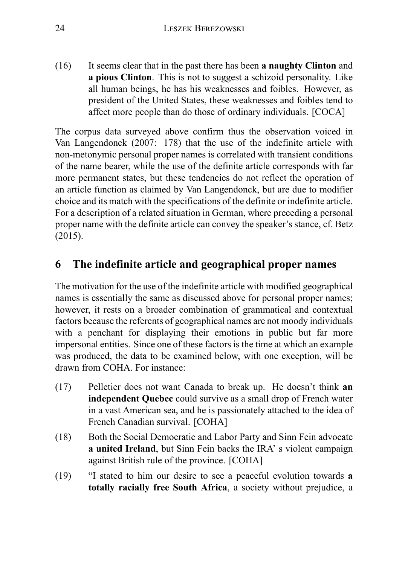(16) It seems clear that in the past there has been **a naughty Clinton** and **a pious Clinton**. This is not to suggest a schizoid personality. Like all human beings, he has his weaknesses and foibles. However, as president of the United States, these weaknesses and foibles tend to affect more people than do those of ordinary individuals. [COCA]

The corpus data surveyed above confirm thus the observation voiced in Van Langendonck (2007: 178) that the use of the indefinite article with non-metonymic personal proper names is correlated with transient conditions of the name bearer, while the use of the definite article corresponds with far more permanent states, but these tendencies do not reflect the operation of an article function as claimed by Van Langendonck, but are due to modifier choice and its match with the specifications of the definite or indefinite article. For a description of a related situation in German, where preceding a personal proper name with the definite article can convey the speaker's stance, cf. Betz (2015).

## **6 The indefinite article and geographical proper names**

The motivation for the use of the indefinite article with modified geographical names is essentially the same as discussed above for personal proper names; however, it rests on a broader combination of grammatical and contextual factors because the referents of geographical names are not moody individuals with a penchant for displaying their emotions in public but far more impersonal entities. Since one of these factors is the time at which an example was produced, the data to be examined below, with one exception, will be drawn from COHA. For instance:

- (17) Pelletier does not want Canada to break up. He doesn't think **an independent Quebec** could survive as a small drop of French water in a vast American sea, and he is passionately attached to the idea of French Canadian survival. [COHA]
- (18) Both the Social Democratic and Labor Party and Sinn Fein advocate **a united Ireland**, but Sinn Fein backs the IRA' s violent campaign against British rule of the province. [COHA]
- (19) "I stated to him our desire to see a peaceful evolution towards **a totally racially free South Africa**, a society without prejudice, a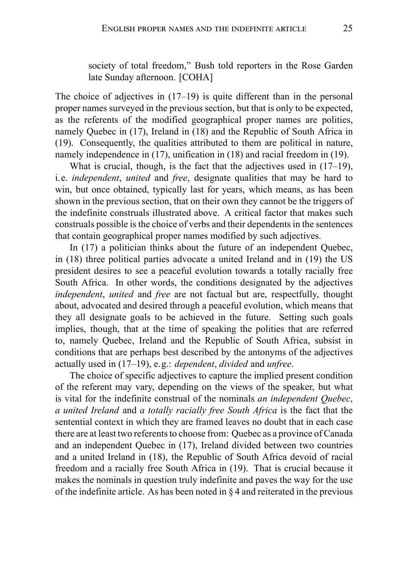society of total freedom," Bush told reporters in the Rose Garden late Sunday afternoon. [COHA]

The choice of adjectives in  $(17-19)$  is quite different than in the personal proper names surveyed in the previous section, but that is only to be expected, as the referents of the modified geographical proper names are polities, namely Quebec in (17), Ireland in (18) and the Republic of South Africa in (19). Consequently, the qualities attributed to them are political in nature, namely independence in (17), unification in (18) and racial freedom in (19).

What is crucial, though, is the fact that the adjectives used in  $(17–19)$ . i.e. *independent*, *united* and *free*, designate qualities that may be hard to win, but once obtained, typically last for years, which means, as has been shown in the previous section, that on their own they cannot be the triggers of the indefinite construals illustrated above. A critical factor that makes such construals possible is the choice of verbs and their dependents in the sentences that contain geographical proper names modified by such adjectives.

In (17) a politician thinks about the future of an independent Quebec, in (18) three political parties advocate a united Ireland and in (19) the US president desires to see a peaceful evolution towards a totally racially free South Africa. In other words, the conditions designated by the adjectives *independent*, *united* and *free* are not factual but are, respectfully, thought about, advocated and desired through a peaceful evolution, which means that they all designate goals to be achieved in the future. Setting such goals implies, though, that at the time of speaking the polities that are referred to, namely Quebec, Ireland and the Republic of South Africa, subsist in conditions that are perhaps best described by the antonyms of the adjectives actually used in (17–19), e.g.: *dependent*, *divided* and *unfree*.

The choice of specific adjectives to capture the implied present condition of the referent may vary, depending on the views of the speaker, but what is vital for the indefinite construal of the nominals *an independent Quebec*, *a united Ireland* and *a totally racially free South Africa* is the fact that the sentential context in which they are framed leaves no doubt that in each case there are at least two referents to choose from: Quebec as a province of Canada and an independent Quebec in (17), Ireland divided between two countries and a united Ireland in (18), the Republic of South Africa devoid of racial freedom and a racially free South Africa in (19). That is crucial because it makes the nominals in question truly indefinite and paves the way for the use of the indefinite article. As has been noted in § 4 and reiterated in the previous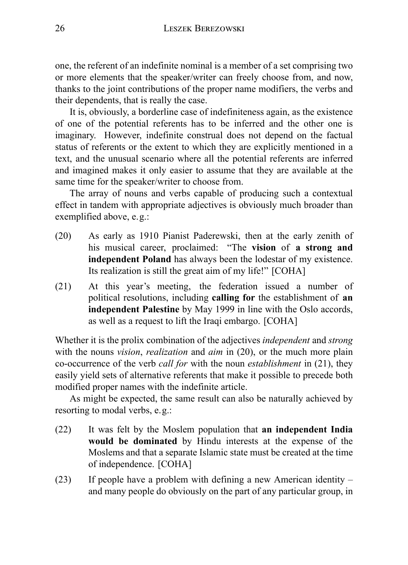one, the referent of an indefinite nominal is a member of a set comprising two or more elements that the speaker/writer can freely choose from, and now, thanks to the joint contributions of the proper name modifiers, the verbs and their dependents, that is really the case.

It is, obviously, a borderline case of indefiniteness again, as the existence of one of the potential referents has to be inferred and the other one is imaginary. However, indefinite construal does not depend on the factual status of referents or the extent to which they are explicitly mentioned in a text, and the unusual scenario where all the potential referents are inferred and imagined makes it only easier to assume that they are available at the same time for the speaker/writer to choose from.

The array of nouns and verbs capable of producing such a contextual effect in tandem with appropriate adjectives is obviously much broader than exemplified above, e.g.:

- (20) As early as 1910 Pianist Paderewski, then at the early zenith of his musical career, proclaimed: "The **vision** of **a strong and independent Poland** has always been the lodestar of my existence. Its realization is still the great aim of my life!" [COHA]
- (21) At this year's meeting, the federation issued a number of political resolutions, including **calling for** the establishment of **an independent Palestine** by May 1999 in line with the Oslo accords, as well as a request to lift the Iraqi embargo. [COHA]

Whether it is the prolix combination of the adjectives *independent* and *strong* with the nouns *vision*, *realization* and *aim* in (20), or the much more plain co-occurrence of the verb *call for* with the noun *establishment* in (21), they easily yield sets of alternative referents that make it possible to precede both modified proper names with the indefinite article.

As might be expected, the same result can also be naturally achieved by resorting to modal verbs, e.g.:

- (22) It was felt by the Moslem population that **an independent India would be dominated** by Hindu interests at the expense of the Moslems and that a separate Islamic state must be created at the time of independence. [COHA]
- (23) If people have a problem with defining a new American identity and many people do obviously on the part of any particular group, in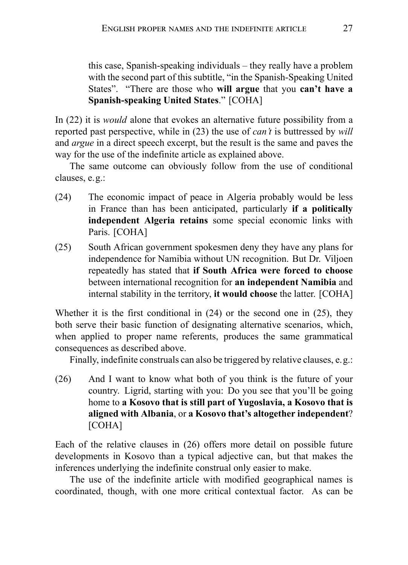this case, Spanish-speaking individuals – they really have a problem with the second part of this subtitle, "in the Spanish-Speaking United States". "There are those who **will argue** that you **can't have a Spanish-speaking United States**." [COHA]

In (22) it is *would* alone that evokes an alternative future possibility from a reported past perspective, while in (23) the use of *can't* is buttressed by *will* and *argue* in a direct speech excerpt, but the result is the same and paves the way for the use of the indefinite article as explained above.

The same outcome can obviously follow from the use of conditional clauses, e.g.:

- (24) The economic impact of peace in Algeria probably would be less in France than has been anticipated, particularly **if a politically independent Algeria retains** some special economic links with Paris. [COHA]
- (25) South African government spokesmen deny they have any plans for independence for Namibia without UN recognition. But Dr. Viljoen repeatedly has stated that **if South Africa were forced to choose** between international recognition for **an independent Namibia** and internal stability in the territory, **it would choose** the latter. [COHA]

Whether it is the first conditional in  $(24)$  or the second one in  $(25)$ , they both serve their basic function of designating alternative scenarios, which, when applied to proper name referents, produces the same grammatical consequences as described above.

Finally, indefinite construals can also be triggered by relative clauses, e.g.:

(26) And I want to know what both of you think is the future of your country. Ligrid, starting with you: Do you see that you'll be going home to **a Kosovo that is still part of Yugoslavia, a Kosovo that is aligned with Albania**, or **a Kosovo that's altogether independent**? [COHA]

Each of the relative clauses in (26) offers more detail on possible future developments in Kosovo than a typical adjective can, but that makes the inferences underlying the indefinite construal only easier to make.

The use of the indefinite article with modified geographical names is coordinated, though, with one more critical contextual factor. As can be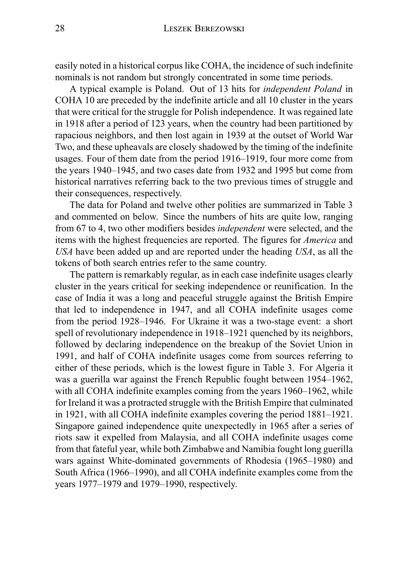easily noted in a historical corpus like COHA, the incidence of such indefinite nominals is not random but strongly concentrated in some time periods.

A typical example is Poland. Out of 13 hits for *independent Poland* in COHA 10 are preceded by the indefinite article and all 10 cluster in the years that were critical for the struggle for Polish independence. It was regained late in 1918 after a period of 123 years, when the country had been partitioned by rapacious neighbors, and then lost again in 1939 at the outset of World War Two, and these upheavals are closely shadowed by the timing of the indefinite usages. Four of them date from the period 1916–1919, four more come from the years 1940–1945, and two cases date from 1932 and 1995 but come from historical narratives referring back to the two previous times of struggle and their consequences, respectively.

The data for Poland and twelve other polities are summarized in Table 3 and commented on below. Since the numbers of hits are quite low, ranging from 67 to 4, two other modifiers besides *independent* were selected, and the items with the highest frequencies are reported. The figures for *America* and *USA* have been added up and are reported under the heading *USA*, as all the tokens of both search entries refer to the same country.

The pattern is remarkably regular, as in each case indefinite usages clearly cluster in the years critical for seeking independence or reunification. In the case of India it was a long and peaceful struggle against the British Empire that led to independence in 1947, and all COHA indefinite usages come from the period 1928–1946. For Ukraine it was a two-stage event: a short spell of revolutionary independence in 1918–1921 quenched by its neighbors, followed by declaring independence on the breakup of the Soviet Union in 1991, and half of COHA indefinite usages come from sources referring to either of these periods, which is the lowest figure in Table 3. For Algeria it was a guerilla war against the French Republic fought between 1954–1962, with all COHA indefinite examples coming from the years 1960–1962, while for Ireland it was a protracted struggle with the British Empire that culminated in 1921, with all COHA indefinite examples covering the period 1881–1921. Singapore gained independence quite unexpectedly in 1965 after a series of riots saw it expelled from Malaysia, and all COHA indefinite usages come from that fateful year, while both Zimbabwe and Namibia fought long guerilla wars against White-dominated governments of Rhodesia (1965–1980) and South Africa (1966–1990), and all COHA indefinite examples come from the years 1977–1979 and 1979–1990, respectively.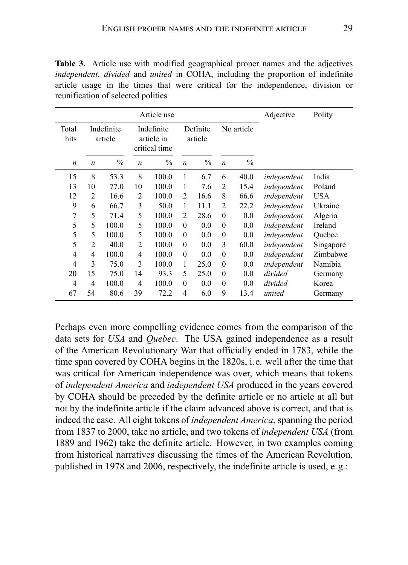|                  |                  |                       | Adjective        | Polity                                    |                  |                     |                  |               |             |            |
|------------------|------------------|-----------------------|------------------|-------------------------------------------|------------------|---------------------|------------------|---------------|-------------|------------|
| Total<br>hits    |                  | Indefinite<br>article |                  | Indefinite<br>article in<br>critical time |                  | Definite<br>article |                  | No article    |             |            |
| $\boldsymbol{n}$ | $\boldsymbol{n}$ | $\frac{0}{0}$         | $\boldsymbol{n}$ | $\frac{0}{0}$                             | $\boldsymbol{n}$ | $\frac{0}{0}$       | $\boldsymbol{n}$ | $\frac{0}{0}$ |             |            |
| 15               | 8                | 53.3                  | 8                | 100.0                                     | 1                | 6.7                 | 6                | 40.0          | independent | India      |
| 13               | 10               | 77.0                  | 10               | 100.0                                     | 1                | 7.6                 | 2                | 15.4          | independent | Poland     |
| 12               | 2                | 16.6                  | $\overline{c}$   | 100.0                                     | 2                | 16.6                | 8                | 66.6          | independent | <b>USA</b> |
| 9                | 6                | 66.7                  | 3                | 50.0                                      | 1                | 11.1                | 2                | 22.2          | independent | Ukraine    |
| $\overline{7}$   | 5                | 71.4                  | 5                | 100.0                                     | $\overline{c}$   | 28.6                | $\theta$         | 0.0           | independent | Algeria    |
| 5                | 5                | 100.0                 | 5                | 100.0                                     | $\theta$         | 0.0                 | $\boldsymbol{0}$ | 0.0           | independent | Ireland    |
| 5                | 5                | 100.0                 | 5                | 100.0                                     | $\theta$         | 0.0                 | $\boldsymbol{0}$ | 0.0           | independent | Ouebec     |
| 5                | $\overline{2}$   | 40.0                  | $\overline{c}$   | 100.0                                     | $\Omega$         | 0.0                 | 3                | 60.0          | independent | Singapore  |
| 4                | 4                | 100.0                 | 4                | 100.0                                     | $\boldsymbol{0}$ | 0.0                 | $\boldsymbol{0}$ | 0.0           | independent | Zimbabwe   |
| 4                | 3                | 75.0                  | 3                | 100.0                                     | 1                | 25.0                | $\boldsymbol{0}$ | 0.0           | independent | Namibia    |
| 20               | 15               | 75.0                  | 14               | 93.3                                      | 5                | 25.0                | $\theta$         | 0.0           | divided     | Germany    |
| 4                | 4                | 100.0                 | $\overline{4}$   | 100.0                                     | $\Omega$         | 0.0                 | $\theta$         | 0.0           | divided     | Korea      |
| 67               | 54               | 80.6                  | 39               | 72.2                                      | 4                | 6.0                 | 9                | 13.4          | united      | Germany    |
|                  |                  |                       |                  |                                           |                  |                     |                  |               |             |            |

**Table 3.** Article use with modified geographical proper names and the adjectives *independent*, *divided* and *united* in COHA, including the proportion of indefinite article usage in the times that were critical for the independence, division or reunification of selected polities

Perhaps even more compelling evidence comes from the comparison of the data sets for *USA* and *Quebec*. The USA gained independence as a result of the American Revolutionary War that officially ended in 1783, while the time span covered by COHA begins in the 1820s, i.e. well after the time that was critical for American independence was over, which means that tokens of *independent America* and *independent USA* produced in the years covered by COHA should be preceded by the definite article or no article at all but not by the indefinite article if the claim advanced above is correct, and that is indeed the case. All eight tokens of *independent America*, spanning the period from 1837 to 2000, take no article, and two tokens of *independent USA* (from 1889 and 1962) take the definite article. However, in two examples coming from historical narratives discussing the times of the American Revolution, published in 1978 and 2006, respectively, the indefinite article is used, e.g.: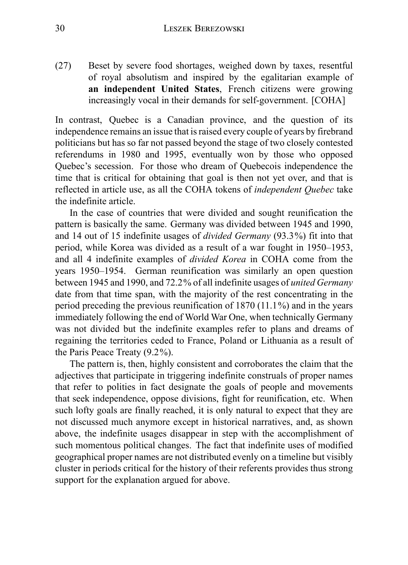(27) Beset by severe food shortages, weighed down by taxes, resentful of royal absolutism and inspired by the egalitarian example of **an independent United States**, French citizens were growing increasingly vocal in their demands for self-government. [COHA]

In contrast, Quebec is a Canadian province, and the question of its independence remains an issue that is raised every couple of years by firebrand politicians but has so far not passed beyond the stage of two closely contested referendums in 1980 and 1995, eventually won by those who opposed Quebec's secession. For those who dream of Quebecois independence the time that is critical for obtaining that goal is then not yet over, and that is reflected in article use, as all the COHA tokens of *independent Quebec* take the indefinite article.

In the case of countries that were divided and sought reunification the pattern is basically the same. Germany was divided between 1945 and 1990, and 14 out of 15 indefinite usages of *divided Germany* (93.3%) fit into that period, while Korea was divided as a result of a war fought in 1950–1953, and all 4 indefinite examples of *divided Korea* in COHA come from the years 1950–1954. German reunification was similarly an open question between 1945 and 1990, and 72.2% of all indefinite usages of *united Germany* date from that time span, with the majority of the rest concentrating in the period preceding the previous reunification of 1870 (11.1%) and in the years immediately following the end of World War One, when technically Germany was not divided but the indefinite examples refer to plans and dreams of regaining the territories ceded to France, Poland or Lithuania as a result of the Paris Peace Treaty (9.2%).

The pattern is, then, highly consistent and corroborates the claim that the adjectives that participate in triggering indefinite construals of proper names that refer to polities in fact designate the goals of people and movements that seek independence, oppose divisions, fight for reunification, etc. When such lofty goals are finally reached, it is only natural to expect that they are not discussed much anymore except in historical narratives, and, as shown above, the indefinite usages disappear in step with the accomplishment of such momentous political changes. The fact that indefinite uses of modified geographical proper names are not distributed evenly on a timeline but visibly cluster in periods critical for the history of their referents provides thus strong support for the explanation argued for above.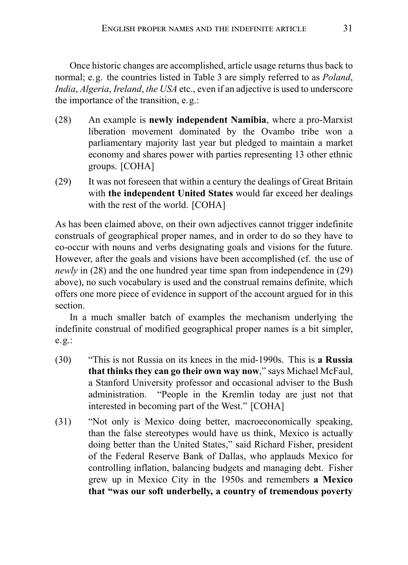Once historic changes are accomplished, article usage returns thus back to normal; e.g. the countries listed in Table 3 are simply referred to as *Poland*, *India*, *Algeria*, *Ireland*, *the USA* etc., even if an adjective is used to underscore the importance of the transition, e.g.:

- (28) An example is **newly independent Namibia**, where a pro-Marxist liberation movement dominated by the Ovambo tribe won a parliamentary majority last year but pledged to maintain a market economy and shares power with parties representing 13 other ethnic groups. [COHA]
- (29) It was not foreseen that within a century the dealings of Great Britain with **the independent United States** would far exceed her dealings with the rest of the world. [COHA]

As has been claimed above, on their own adjectives cannot trigger indefinite construals of geographical proper names, and in order to do so they have to co-occur with nouns and verbs designating goals and visions for the future. However, after the goals and visions have been accomplished (cf. the use of *newly* in (28) and the one hundred year time span from independence in (29) above), no such vocabulary is used and the construal remains definite, which offers one more piece of evidence in support of the account argued for in this section.

In a much smaller batch of examples the mechanism underlying the indefinite construal of modified geographical proper names is a bit simpler, e.g.:

- (30) "This is not Russia on its knees in the mid-1990s. This is **a Russia that thinks they can go their own way now**," says Michael McFaul, a Stanford University professor and occasional adviser to the Bush administration. "People in the Kremlin today are just not that interested in becoming part of the West." [COHA]
- (31) "Not only is Mexico doing better, macroeconomically speaking, than the false stereotypes would have us think, Mexico is actually doing better than the United States," said Richard Fisher, president of the Federal Reserve Bank of Dallas, who applauds Mexico for controlling inflation, balancing budgets and managing debt. Fisher grew up in Mexico City in the 1950s and remembers **a Mexico that "was our soft underbelly, a country of tremendous poverty**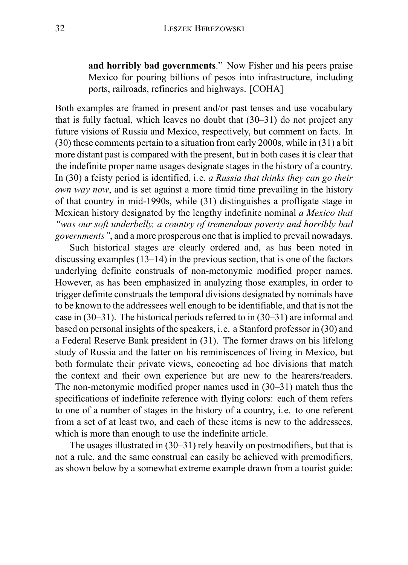**and horribly bad governments**." Now Fisher and his peers praise Mexico for pouring billions of pesos into infrastructure, including ports, railroads, refineries and highways. [COHA]

Both examples are framed in present and/or past tenses and use vocabulary that is fully factual, which leaves no doubt that (30–31) do not project any future visions of Russia and Mexico, respectively, but comment on facts. In (30) these comments pertain to a situation from early 2000s, while in (31) a bit more distant past is compared with the present, but in both cases it is clear that the indefinite proper name usages designate stages in the history of a country. In (30) a feisty period is identified, i.e. *a Russia that thinks they can go their own way now*, and is set against a more timid time prevailing in the history of that country in mid-1990s, while (31) distinguishes a profligate stage in Mexican history designated by the lengthy indefinite nominal *a Mexico that "was our soft underbelly, a country of tremendous poverty and horribly bad governments"*, and a more prosperous one that is implied to prevail nowadays.

Such historical stages are clearly ordered and, as has been noted in discussing examples (13–14) in the previous section, that is one of the factors underlying definite construals of non-metonymic modified proper names. However, as has been emphasized in analyzing those examples, in order to trigger definite construals the temporal divisions designated by nominals have to be known to the addressees well enough to be identifiable, and that is not the case in (30–31). The historical periods referred to in (30–31) are informal and based on personal insights of the speakers, i.e. a Stanford professor in (30) and a Federal Reserve Bank president in (31). The former draws on his lifelong study of Russia and the latter on his reminiscences of living in Mexico, but both formulate their private views, concocting ad hoc divisions that match the context and their own experience but are new to the hearers/readers. The non-metonymic modified proper names used in (30–31) match thus the specifications of indefinite reference with flying colors: each of them refers to one of a number of stages in the history of a country, i.e. to one referent from a set of at least two, and each of these items is new to the addressees, which is more than enough to use the indefinite article.

The usages illustrated in (30–31) rely heavily on postmodifiers, but that is not a rule, and the same construal can easily be achieved with premodifiers, as shown below by a somewhat extreme example drawn from a tourist guide: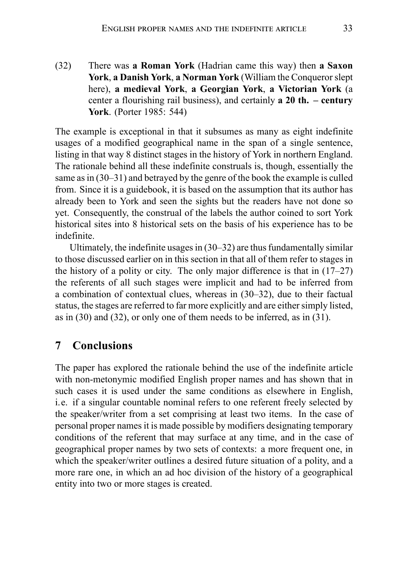(32) There was **a Roman York** (Hadrian came this way) then **a Saxon York**, **a Danish York**, **a Norman York** (William the Conqueror slept here), **a medieval York**, **a Georgian York**, **a Victorian York** (a center a flourishing rail business), and certainly **a 20 th. – century York**. (Porter 1985: 544)

The example is exceptional in that it subsumes as many as eight indefinite usages of a modified geographical name in the span of a single sentence, listing in that way 8 distinct stages in the history of York in northern England. The rationale behind all these indefinite construals is, though, essentially the same as in (30–31) and betrayed by the genre of the book the example is culled from. Since it is a guidebook, it is based on the assumption that its author has already been to York and seen the sights but the readers have not done so yet. Consequently, the construal of the labels the author coined to sort York historical sites into 8 historical sets on the basis of his experience has to be indefinite.

Ultimately, the indefinite usages in (30–32) are thus fundamentally similar to those discussed earlier on in this section in that all of them refer to stages in the history of a polity or city. The only major difference is that in (17–27) the referents of all such stages were implicit and had to be inferred from a combination of contextual clues, whereas in (30–32), due to their factual status, the stages are referred to far more explicitly and are either simply listed, as in (30) and (32), or only one of them needs to be inferred, as in (31).

#### **7 Conclusions**

The paper has explored the rationale behind the use of the indefinite article with non-metonymic modified English proper names and has shown that in such cases it is used under the same conditions as elsewhere in English, i.e. if a singular countable nominal refers to one referent freely selected by the speaker/writer from a set comprising at least two items. In the case of personal proper names it is made possible by modifiers designating temporary conditions of the referent that may surface at any time, and in the case of geographical proper names by two sets of contexts: a more frequent one, in which the speaker/writer outlines a desired future situation of a polity, and a more rare one, in which an ad hoc division of the history of a geographical entity into two or more stages is created.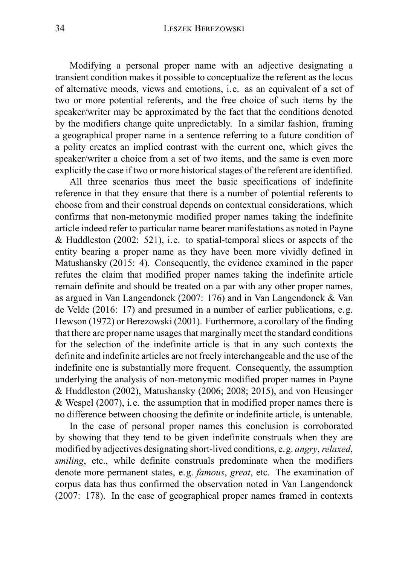Modifying a personal proper name with an adjective designating a transient condition makes it possible to conceptualize the referent as the locus of alternative moods, views and emotions, i.e. as an equivalent of a set of two or more potential referents, and the free choice of such items by the speaker/writer may be approximated by the fact that the conditions denoted by the modifiers change quite unpredictably. In a similar fashion, framing a geographical proper name in a sentence referring to a future condition of a polity creates an implied contrast with the current one, which gives the speaker/writer a choice from a set of two items, and the same is even more explicitly the case if two or more historical stages of the referent are identified.

All three scenarios thus meet the basic specifications of indefinite reference in that they ensure that there is a number of potential referents to choose from and their construal depends on contextual considerations, which confirms that non-metonymic modified proper names taking the indefinite article indeed refer to particular name bearer manifestations as noted in Payne & Huddleston (2002: 521), i.e. to spatial-temporal slices or aspects of the entity bearing a proper name as they have been more vividly defined in Matushansky (2015: 4). Consequently, the evidence examined in the paper refutes the claim that modified proper names taking the indefinite article remain definite and should be treated on a par with any other proper names, as argued in Van Langendonck (2007: 176) and in Van Langendonck & Van de Velde (2016: 17) and presumed in a number of earlier publications, e.g. Hewson (1972) or Berezowski (2001). Furthermore, a corollary of the finding that there are proper name usages that marginally meet the standard conditions for the selection of the indefinite article is that in any such contexts the definite and indefinite articles are not freely interchangeable and the use of the indefinite one is substantially more frequent. Consequently, the assumption underlying the analysis of non-metonymic modified proper names in Payne & Huddleston (2002), Matushansky (2006; 2008; 2015), and von Heusinger  $&$  Wespel (2007), i.e. the assumption that in modified proper names there is no difference between choosing the definite or indefinite article, is untenable.

In the case of personal proper names this conclusion is corroborated by showing that they tend to be given indefinite construals when they are modified by adjectives designating short-lived conditions, e.g. *angry*,*relaxed*, *smiling*, etc., while definite construals predominate when the modifiers denote more permanent states, e.g. *famous*, *great*, etc. The examination of corpus data has thus confirmed the observation noted in Van Langendonck (2007: 178). In the case of geographical proper names framed in contexts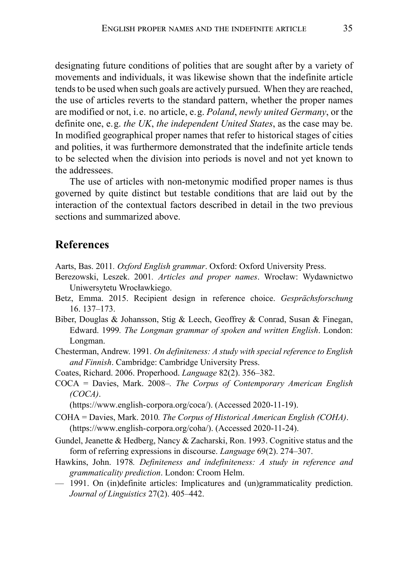designating future conditions of polities that are sought after by a variety of movements and individuals, it was likewise shown that the indefinite article tends to be used when such goals are actively pursued. When they are reached, the use of articles reverts to the standard pattern, whether the proper names are modified or not, i.e. no article, e.g. *Poland*, *newly united Germany*, or the definite one, e.g. *the UK*, *the independent United States*, as the case may be. In modified geographical proper names that refer to historical stages of cities and polities, it was furthermore demonstrated that the indefinite article tends to be selected when the division into periods is novel and not yet known to the addressees.

The use of articles with non-metonymic modified proper names is thus governed by quite distinct but testable conditions that are laid out by the interaction of the contextual factors described in detail in the two previous sections and summarized above.

### **References**

- Aarts, Bas. 2011*. Oxford English grammar*. Oxford: Oxford University Press.
- Berezowski, Leszek. 2001*. Articles and proper names*. Wrocław: Wydawnictwo Uniwersytetu Wrocławkiego.
- Betz, Emma. 2015. Recipient design in reference choice. *Gesprächsforschung* 16. 137–173.
- Biber, Douglas & Johansson, Stig & Leech, Geoffrey & Conrad, Susan & Finegan, Edward. 1999*. The Longman grammar of spoken and written English*. London: Longman.
- Chesterman, Andrew. 1991*. On definiteness: A study with special reference to English and Finnish*. Cambridge: Cambridge University Press.
- Coates, Richard. 2006. Properhood. *Language* 82(2). 356–382.
- COCA = Davies, Mark. 2008–*. The Corpus of Contemporary American English (COCA)*.

(https://www.english-corpora.org/coca/). (Accessed 2020-11-19).

- COHA = Davies, Mark. 2010*. The Corpus of Historical American English (COHA)*. (https://www.english-corpora.org/coha/). (Accessed 2020-11-24).
- Gundel, Jeanette & Hedberg, Nancy & Zacharski, Ron. 1993. Cognitive status and the form of referring expressions in discourse. *Language* 69(2). 274–307.
- Hawkins, John. 1978*. Definiteness and indefiniteness: A study in reference and grammaticality prediction*. London: Croom Helm.
- 1991. On (in)definite articles: Implicatures and (un)grammaticality prediction. *Journal of Linguistics* 27(2). 405–442.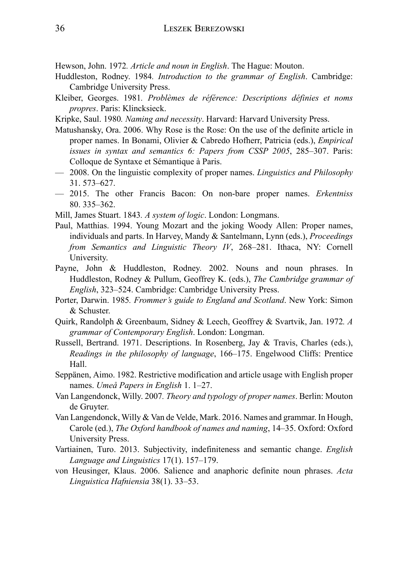Hewson, John. 1972*. Article and noun in English*. The Hague: Mouton.

- Huddleston, Rodney. 1984*. Introduction to the grammar of English*. Cambridge: Cambridge University Press.
- Kleiber, Georges. 1981*. Problèmes de référence: Descriptions définies et noms propres*. Paris: Klincksieck.
- Kripke, Saul. 1980*. Naming and necessity*. Harvard: Harvard University Press.
- Matushansky, Ora. 2006. Why Rose is the Rose: On the use of the definite article in proper names. In Bonami, Olivier & Cabredo Hofherr, Patricia (eds.), *Empirical issues in syntax and semantics 6: Papers from CSSP 2005*, 285–307. Paris: Colloque de Syntaxe et Sémantique à Paris.
- 2008. On the linguistic complexity of proper names. *Linguistics and Philosophy* 31. 573–627.
- 2015. The other Francis Bacon: On non-bare proper names. *Erkentniss* 80. 335–362.
- Mill, James Stuart. 1843*. A system of logic*. London: Longmans.
- Paul, Matthias. 1994. Young Mozart and the joking Woody Allen: Proper names, individuals and parts. In Harvey, Mandy & Santelmann, Lynn (eds.), *Proceedings from Semantics and Linguistic Theory IV*, 268–281. Ithaca, NY: Cornell University.
- Payne, John & Huddleston, Rodney. 2002. Nouns and noun phrases. In Huddleston, Rodney & Pullum, Geoffrey K. (eds.), *The Cambridge grammar of English*, 323–524. Cambridge: Cambridge University Press.
- Porter, Darwin. 1985*. Frommer's guide to England and Scotland*. New York: Simon & Schuster.
- Quirk, Randolph & Greenbaum, Sidney & Leech, Geoffrey & Svartvik, Jan. 1972*. A grammar of Contemporary English*. London: Longman.
- Russell, Bertrand. 1971. Descriptions. In Rosenberg, Jay & Travis, Charles (eds.), *Readings in the philosophy of language*, 166–175. Engelwood Cliffs: Prentice Hall.
- Seppänen, Aimo. 1982. Restrictive modification and article usage with English proper names. *Umeå Papers in English* 1. 1–27.
- Van Langendonck, Willy. 2007*. Theory and typology of proper names*. Berlin: Mouton de Gruyter.
- Van Langendonck, Willy & Van de Velde, Mark. 2016. Names and grammar. In Hough, Carole (ed.), *The Oxford handbook of names and naming*, 14–35. Oxford: Oxford University Press.
- Vartiainen, Turo. 2013. Subjectivity, indefiniteness and semantic change. *English Language and Linguistics* 17(1). 157–179.
- von Heusinger, Klaus. 2006. Salience and anaphoric definite noun phrases. *Acta Linguistica Hafniensia* 38(1). 33–53.